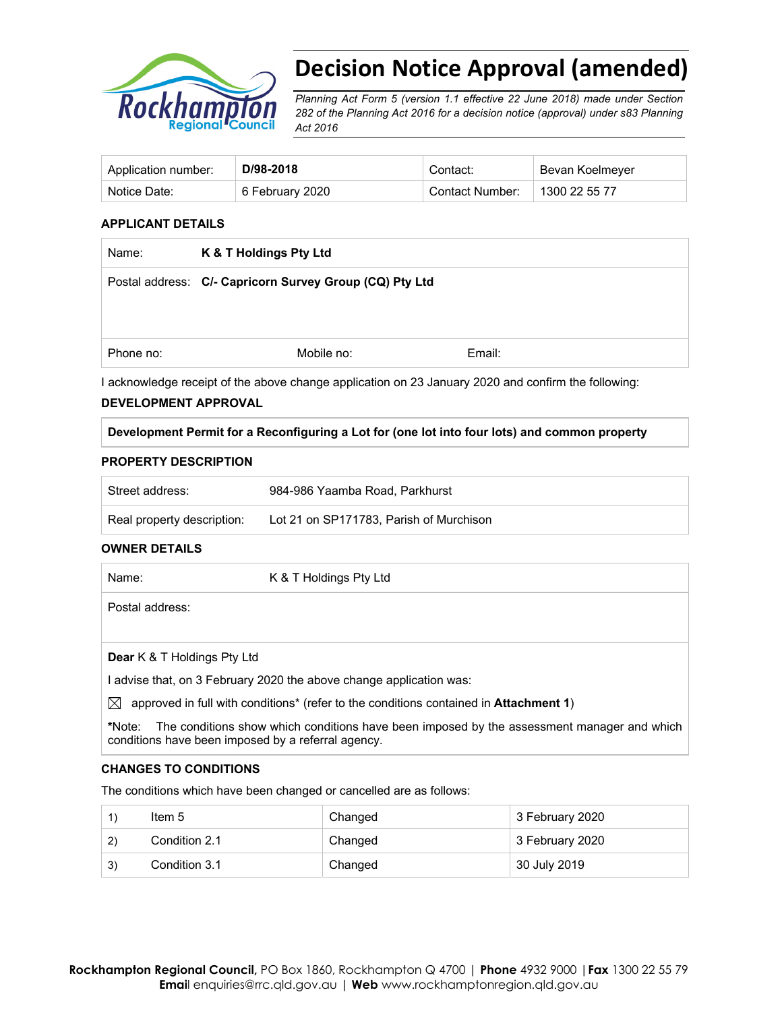

# **Decision Notice Approval (amended)**

*Planning Act Form 5 (version 1.1 effective 22 June 2018) made under Section 282 of the Planning Act 2016 for a decision notice (approval) under s83 Planning Act 2016* 

| Application number: | D/98-2018       | Contact:        | Bevan Koelmeyer |
|---------------------|-----------------|-----------------|-----------------|
| Notice Date:        | 6 February 2020 | Contact Number: | 1300 22 55 77   |

#### **APPLICANT DETAILS**

| K & T Holdings Pty Ltd                                  |        |  |
|---------------------------------------------------------|--------|--|
| Postal address: C/- Capricorn Survey Group (CQ) Pty Ltd |        |  |
|                                                         |        |  |
|                                                         |        |  |
| Mobile no:                                              | Email: |  |
|                                                         |        |  |

I acknowledge receipt of the above change application on 23 January 2020 and confirm the following:

## **DEVELOPMENT APPROVAL**

#### **Development Permit for a Reconfiguring a Lot for (one lot into four lots) and common property**

#### **PROPERTY DESCRIPTION**

| Street address:            | 984-986 Yaamba Road, Parkhurst          |
|----------------------------|-----------------------------------------|
| Real property description: | Lot 21 on SP171783, Parish of Murchison |

#### **OWNER DETAILS**

| Name:                              | K & T Holdings Pty Ltd                                                                                    |
|------------------------------------|-----------------------------------------------------------------------------------------------------------|
| Postal address:                    |                                                                                                           |
| <b>Dear</b> K & T Holdings Pty Ltd |                                                                                                           |
|                                    | l advise that, on 3 February 2020 the above change application was:                                       |
| $\bowtie$                          | approved in full with conditions <sup>*</sup> (refer to the conditions contained in <b>Attachment 1</b> ) |
| *Note:                             | The conditions show which conditions have been imposed by the assessment manager and which                |

#### **CHANGES TO CONDITIONS**

The conditions which have been changed or cancelled are as follows:

conditions have been imposed by a referral agency.

|     | Item 5        | Changed | 3 February 2020 |
|-----|---------------|---------|-----------------|
| (2) | Condition 2.1 | Changed | 3 February 2020 |
| 3)  | Condition 3.1 | Changed | 30 July 2019    |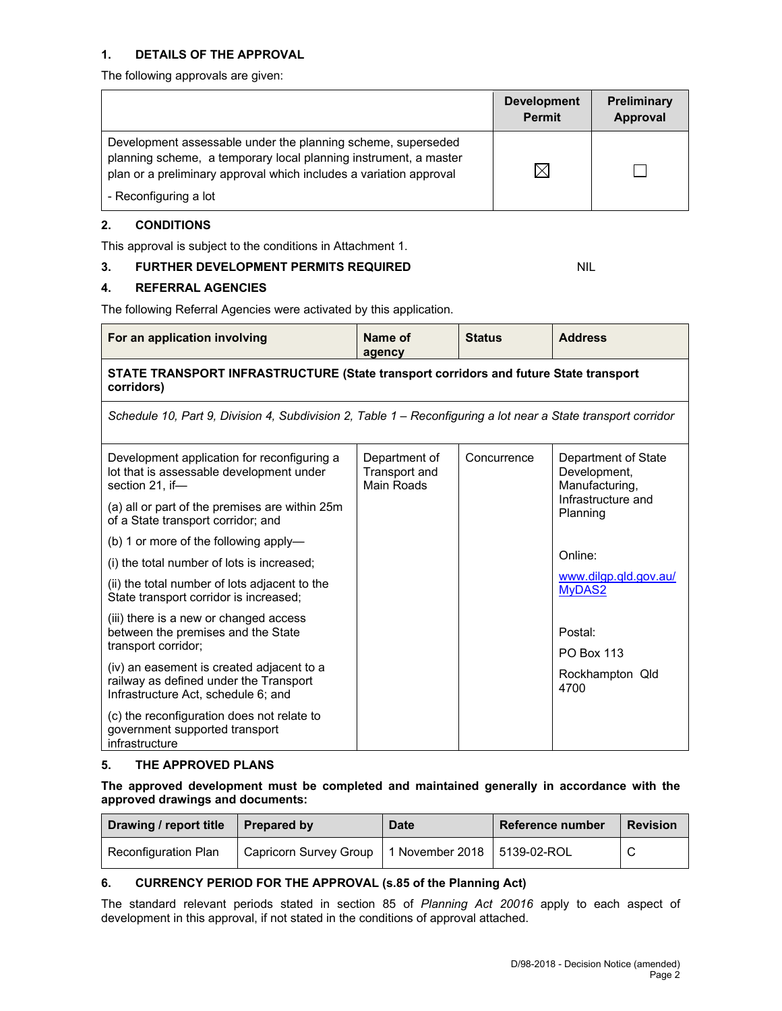#### **1. DETAILS OF THE APPROVAL**

The following approvals are given:

|                                                                                                                                                                                                        | <b>Development</b><br><b>Permit</b> | <b>Preliminary</b><br>Approval |
|--------------------------------------------------------------------------------------------------------------------------------------------------------------------------------------------------------|-------------------------------------|--------------------------------|
| Development assessable under the planning scheme, superseded<br>planning scheme, a temporary local planning instrument, a master<br>plan or a preliminary approval which includes a variation approval |                                     |                                |
| - Reconfiguring a lot                                                                                                                                                                                  |                                     |                                |

## **2. CONDITIONS**

This approval is subject to the conditions in Attachment 1.

## **3. FURTHER DEVELOPMENT PERMITS REQUIRED** NIL

## **4. REFERRAL AGENCIES**

The following Referral Agencies were activated by this application.

| For an application involving                                                                                               | Name of<br>agency                            | <b>Status</b> | <b>Address</b>                                        |  |  |
|----------------------------------------------------------------------------------------------------------------------------|----------------------------------------------|---------------|-------------------------------------------------------|--|--|
| STATE TRANSPORT INFRASTRUCTURE (State transport corridors and future State transport<br>corridors)                         |                                              |               |                                                       |  |  |
| Schedule 10, Part 9, Division 4, Subdivision 2, Table 1 – Reconfiguring a lot near a State transport corridor              |                                              |               |                                                       |  |  |
| Development application for reconfiguring a<br>lot that is assessable development under<br>section 21. if—                 | Department of<br>Transport and<br>Main Roads | Concurrence   | Department of State<br>Development,<br>Manufacturing, |  |  |
| (a) all or part of the premises are within 25m<br>of a State transport corridor; and                                       |                                              |               | Infrastructure and<br>Planning                        |  |  |
| (b) 1 or more of the following apply-                                                                                      |                                              |               |                                                       |  |  |
| (i) the total number of lots is increased;                                                                                 |                                              |               | Online:                                               |  |  |
| (ii) the total number of lots adjacent to the<br>State transport corridor is increased;                                    |                                              |               | www.dilgp.qld.gov.au/<br><b>MyDAS2</b>                |  |  |
| (iii) there is a new or changed access<br>between the premises and the State<br>transport corridor;                        |                                              |               | Postal:<br><b>PO Box 113</b>                          |  |  |
| (iv) an easement is created adjacent to a<br>railway as defined under the Transport<br>Infrastructure Act, schedule 6; and |                                              |               | Rockhampton Qld<br>4700                               |  |  |
| (c) the reconfiguration does not relate to<br>government supported transport<br>infrastructure                             |                                              |               |                                                       |  |  |

## **5. THE APPROVED PLANS**

**The approved development must be completed and maintained generally in accordance with the approved drawings and documents:** 

| Drawing / report title | <b>Prepared by</b>     | <b>Date</b>                   | Reference number | <b>Revision</b> |
|------------------------|------------------------|-------------------------------|------------------|-----------------|
| Reconfiguration Plan   | Capricorn Survey Group | 1 November 2018   5139-02-ROL |                  |                 |

## **6. CURRENCY PERIOD FOR THE APPROVAL (s.85 of the Planning Act)**

The standard relevant periods stated in section 85 of *Planning Act 20016* apply to each aspect of development in this approval, if not stated in the conditions of approval attached.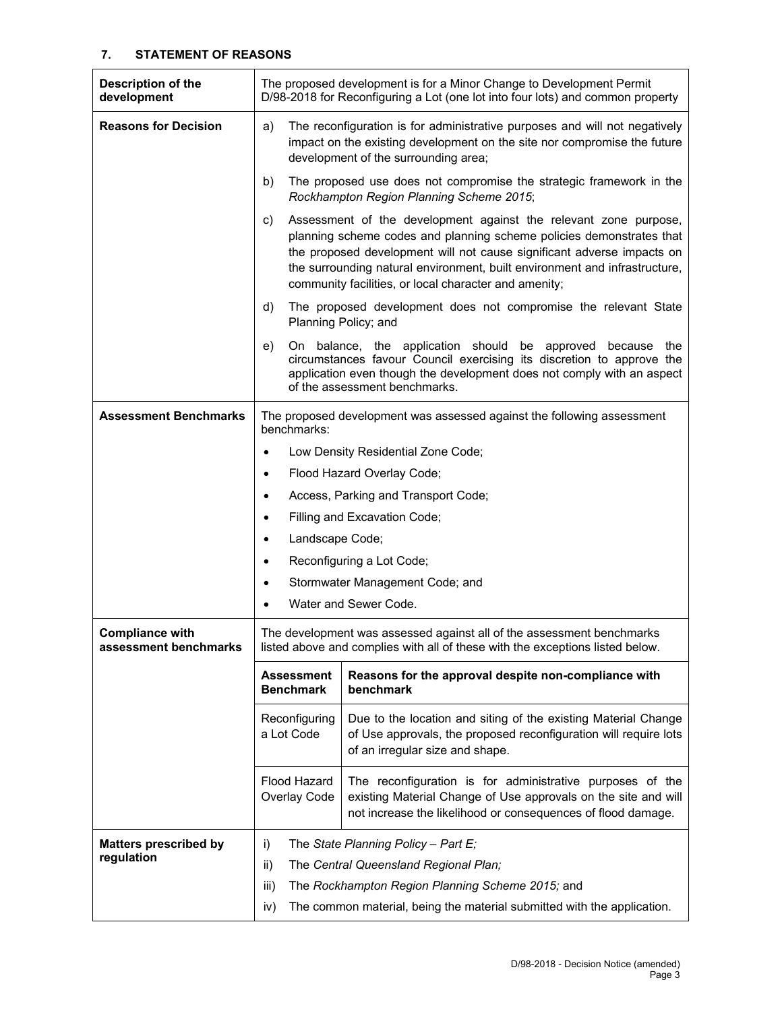## **7. STATEMENT OF REASONS**

| Description of the<br>development               | The proposed development is for a Minor Change to Development Permit<br>D/98-2018 for Reconfiguring a Lot (one lot into four lots) and common property                                                                                                                                                                                                          |                                                                                                                                                                                                                                                   |  |  |
|-------------------------------------------------|-----------------------------------------------------------------------------------------------------------------------------------------------------------------------------------------------------------------------------------------------------------------------------------------------------------------------------------------------------------------|---------------------------------------------------------------------------------------------------------------------------------------------------------------------------------------------------------------------------------------------------|--|--|
| <b>Reasons for Decision</b>                     | The reconfiguration is for administrative purposes and will not negatively<br>a)<br>impact on the existing development on the site nor compromise the future<br>development of the surrounding area;                                                                                                                                                            |                                                                                                                                                                                                                                                   |  |  |
|                                                 | b)<br>The proposed use does not compromise the strategic framework in the<br>Rockhampton Region Planning Scheme 2015;                                                                                                                                                                                                                                           |                                                                                                                                                                                                                                                   |  |  |
|                                                 | Assessment of the development against the relevant zone purpose,<br>C)<br>planning scheme codes and planning scheme policies demonstrates that<br>the proposed development will not cause significant adverse impacts on<br>the surrounding natural environment, built environment and infrastructure,<br>community facilities, or local character and amenity; |                                                                                                                                                                                                                                                   |  |  |
|                                                 | d)                                                                                                                                                                                                                                                                                                                                                              | The proposed development does not compromise the relevant State<br>Planning Policy; and                                                                                                                                                           |  |  |
|                                                 | e)                                                                                                                                                                                                                                                                                                                                                              | On balance, the application should be approved because<br>the<br>circumstances favour Council exercising its discretion to approve the<br>application even though the development does not comply with an aspect<br>of the assessment benchmarks. |  |  |
| <b>Assessment Benchmarks</b>                    | The proposed development was assessed against the following assessment<br>benchmarks:                                                                                                                                                                                                                                                                           |                                                                                                                                                                                                                                                   |  |  |
|                                                 |                                                                                                                                                                                                                                                                                                                                                                 | Low Density Residential Zone Code;                                                                                                                                                                                                                |  |  |
|                                                 | $\bullet$                                                                                                                                                                                                                                                                                                                                                       | Flood Hazard Overlay Code;                                                                                                                                                                                                                        |  |  |
|                                                 | Access, Parking and Transport Code;<br>٠                                                                                                                                                                                                                                                                                                                        |                                                                                                                                                                                                                                                   |  |  |
|                                                 | Filling and Excavation Code;<br>$\bullet$                                                                                                                                                                                                                                                                                                                       |                                                                                                                                                                                                                                                   |  |  |
|                                                 | Landscape Code;<br>$\bullet$                                                                                                                                                                                                                                                                                                                                    |                                                                                                                                                                                                                                                   |  |  |
|                                                 | Reconfiguring a Lot Code;<br>٠                                                                                                                                                                                                                                                                                                                                  |                                                                                                                                                                                                                                                   |  |  |
|                                                 | ٠                                                                                                                                                                                                                                                                                                                                                               | Stormwater Management Code; and                                                                                                                                                                                                                   |  |  |
|                                                 |                                                                                                                                                                                                                                                                                                                                                                 | Water and Sewer Code.                                                                                                                                                                                                                             |  |  |
| <b>Compliance with</b><br>assessment benchmarks |                                                                                                                                                                                                                                                                                                                                                                 | The development was assessed against all of the assessment benchmarks<br>listed above and complies with all of these with the exceptions listed below.                                                                                            |  |  |
|                                                 | <b>Assessment</b><br><b>Benchmark</b>                                                                                                                                                                                                                                                                                                                           | Reasons for the approval despite non-compliance with<br>benchmark                                                                                                                                                                                 |  |  |
|                                                 | Reconfiguring<br>Due to the location and siting of the existing Material Change<br>a Lot Code<br>of Use approvals, the proposed reconfiguration will require lots<br>of an irregular size and shape.                                                                                                                                                            |                                                                                                                                                                                                                                                   |  |  |
|                                                 | The reconfiguration is for administrative purposes of the<br>Flood Hazard<br>Overlay Code<br>existing Material Change of Use approvals on the site and will<br>not increase the likelihood or consequences of flood damage.                                                                                                                                     |                                                                                                                                                                                                                                                   |  |  |
| <b>Matters prescribed by</b>                    | The State Planning Policy - Part $E_i$<br>i)                                                                                                                                                                                                                                                                                                                    |                                                                                                                                                                                                                                                   |  |  |
| regulation                                      | ii)                                                                                                                                                                                                                                                                                                                                                             | The Central Queensland Regional Plan;                                                                                                                                                                                                             |  |  |
|                                                 | iii)<br>The Rockhampton Region Planning Scheme 2015; and                                                                                                                                                                                                                                                                                                        |                                                                                                                                                                                                                                                   |  |  |
|                                                 | The common material, being the material submitted with the application.<br>iv)                                                                                                                                                                                                                                                                                  |                                                                                                                                                                                                                                                   |  |  |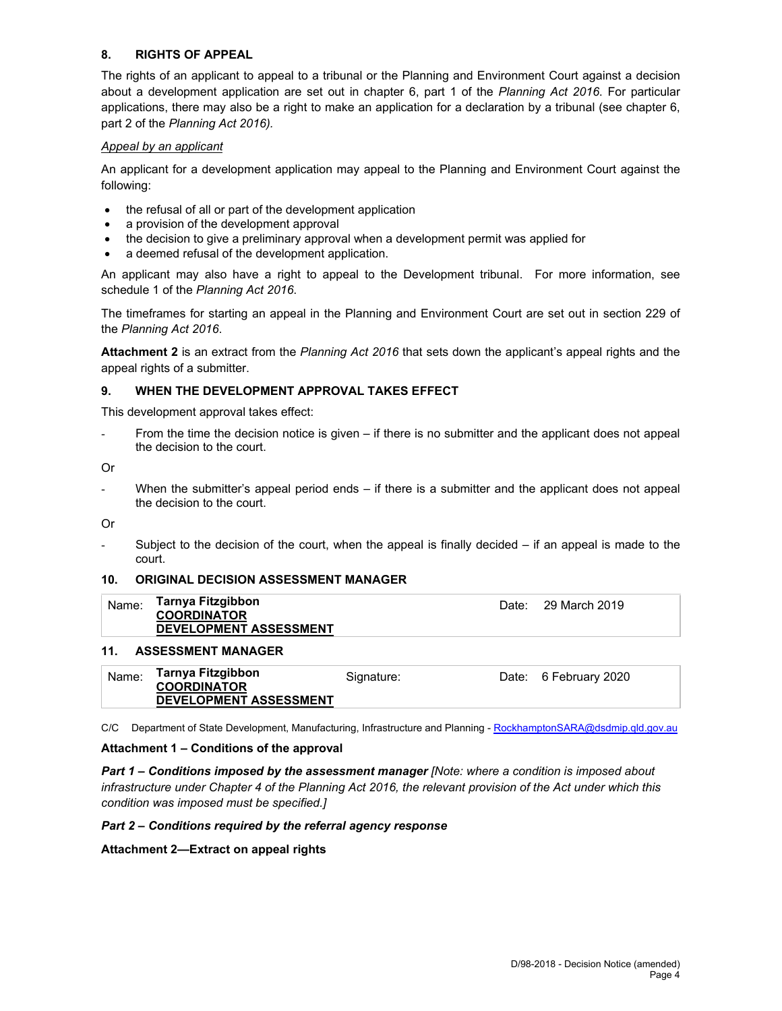## **8. RIGHTS OF APPEAL**

The rights of an applicant to appeal to a tribunal or the Planning and Environment Court against a decision about a development application are set out in chapter 6, part 1 of the *Planning Act 2016*. For particular applications, there may also be a right to make an application for a declaration by a tribunal (see chapter 6, part 2 of the *Planning Act 2016).*

## *Appeal by an applicant*

An applicant for a development application may appeal to the Planning and Environment Court against the following:

- the refusal of all or part of the development application
- a provision of the development approval
- the decision to give a preliminary approval when a development permit was applied for
- a deemed refusal of the development application.

An applicant may also have a right to appeal to the Development tribunal. For more information, see schedule 1 of the *Planning Act 2016*.

The timeframes for starting an appeal in the Planning and Environment Court are set out in section 229 of the *Planning Act 2016*.

**Attachment 2** is an extract from the *Planning Act 2016* that sets down the applicant's appeal rights and the appeal rights of a submitter.

## **9. WHEN THE DEVELOPMENT APPROVAL TAKES EFFECT**

This development approval takes effect:

From the time the decision notice is given  $-$  if there is no submitter and the applicant does not appeal the decision to the court.

Or

When the submitter's appeal period ends  $-$  if there is a submitter and the applicant does not appeal the decision to the court.

Or

Subject to the decision of the court, when the appeal is finally decided  $-$  if an appeal is made to the court.

## **10. ORIGINAL DECISION ASSESSMENT MANAGER**

| Name: | Tarnya Fitzgibbon<br><b>COORDINATOR</b><br><b>DEVELOPMENT ASSESSMENT</b> | Date: 29 March 2019 |
|-------|--------------------------------------------------------------------------|---------------------|
|       | 11. ASSESSMENT MANAGER                                                   |                     |

| Tarnya Fitzgibbon<br>Name:<br>Date: 6 February 2020<br>Signature:<br><b>COORDINATOR</b><br><b>DEVELOPMENT ASSESSMENT</b> |  |
|--------------------------------------------------------------------------------------------------------------------------|--|
|--------------------------------------------------------------------------------------------------------------------------|--|

C/C Department of State Development, Manufacturing, Infrastructure and Planning - RockhamptonSARA@dsdmip.qld.gov.au

## **Attachment 1 – Conditions of the approval**

*Part 1* **–** *Conditions imposed by the assessment manager [Note: where a condition is imposed about infrastructure under Chapter 4 of the Planning Act 2016, the relevant provision of the Act under which this condition was imposed must be specified.]*

## *Part 2 – Conditions required by the referral agency response*

**Attachment 2—Extract on appeal rights**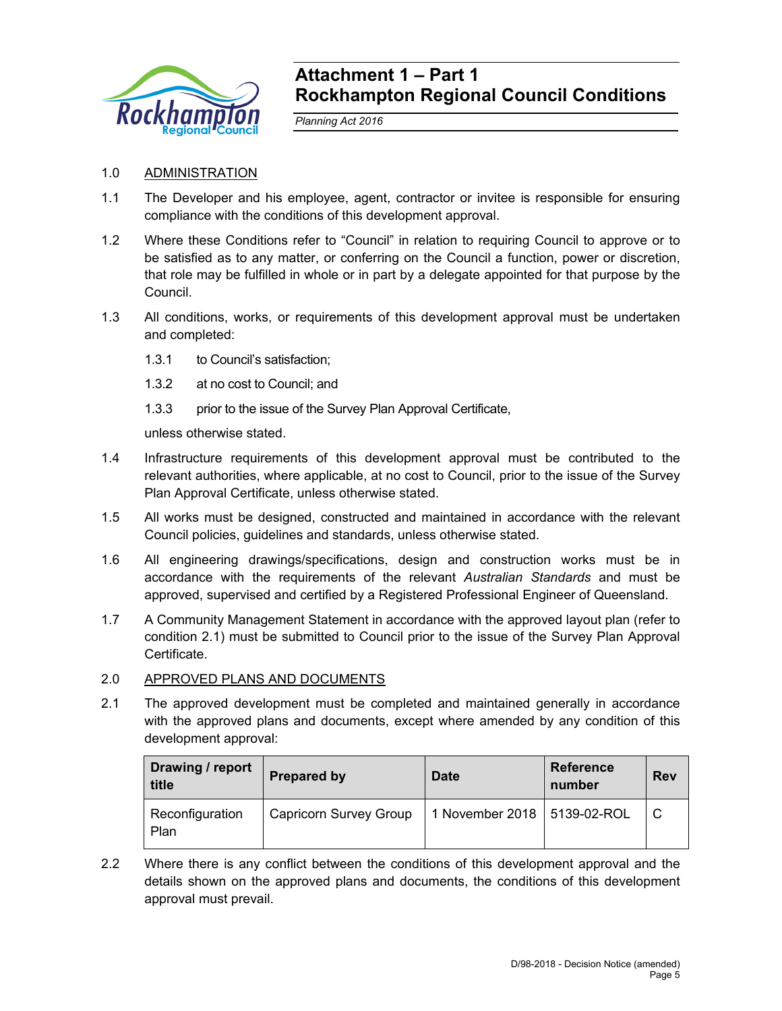

# **Attachment 1 – Part 1 Rockhampton Regional Council Conditions**

*Planning Act 2016* 

# 1.0 ADMINISTRATION

- 1.1 The Developer and his employee, agent, contractor or invitee is responsible for ensuring compliance with the conditions of this development approval.
- 1.2 Where these Conditions refer to "Council" in relation to requiring Council to approve or to be satisfied as to any matter, or conferring on the Council a function, power or discretion, that role may be fulfilled in whole or in part by a delegate appointed for that purpose by the Council.
- 1.3 All conditions, works, or requirements of this development approval must be undertaken and completed:
	- 1.3.1 to Council's satisfaction;
	- 1.3.2 at no cost to Council; and
	- 1.3.3 prior to the issue of the Survey Plan Approval Certificate,

unless otherwise stated.

- 1.4 Infrastructure requirements of this development approval must be contributed to the relevant authorities, where applicable, at no cost to Council, prior to the issue of the Survey Plan Approval Certificate, unless otherwise stated.
- 1.5 All works must be designed, constructed and maintained in accordance with the relevant Council policies, guidelines and standards, unless otherwise stated.
- 1.6 All engineering drawings/specifications, design and construction works must be in accordance with the requirements of the relevant *Australian Standards* and must be approved, supervised and certified by a Registered Professional Engineer of Queensland.
- 1.7 A Community Management Statement in accordance with the approved layout plan (refer to condition 2.1) must be submitted to Council prior to the issue of the Survey Plan Approval Certificate.

## 2.0 APPROVED PLANS AND DOCUMENTS

2.1 The approved development must be completed and maintained generally in accordance with the approved plans and documents, except where amended by any condition of this development approval:

| Drawing / report<br>title | <b>Prepared by</b>            | <b>Date</b>                   | <b>Reference</b><br>number | <b>Rev</b> |
|---------------------------|-------------------------------|-------------------------------|----------------------------|------------|
| Reconfiguration<br>Plan   | <b>Capricorn Survey Group</b> | 1 November 2018   5139-02-ROL |                            | l C        |

2.2 Where there is any conflict between the conditions of this development approval and the details shown on the approved plans and documents, the conditions of this development approval must prevail.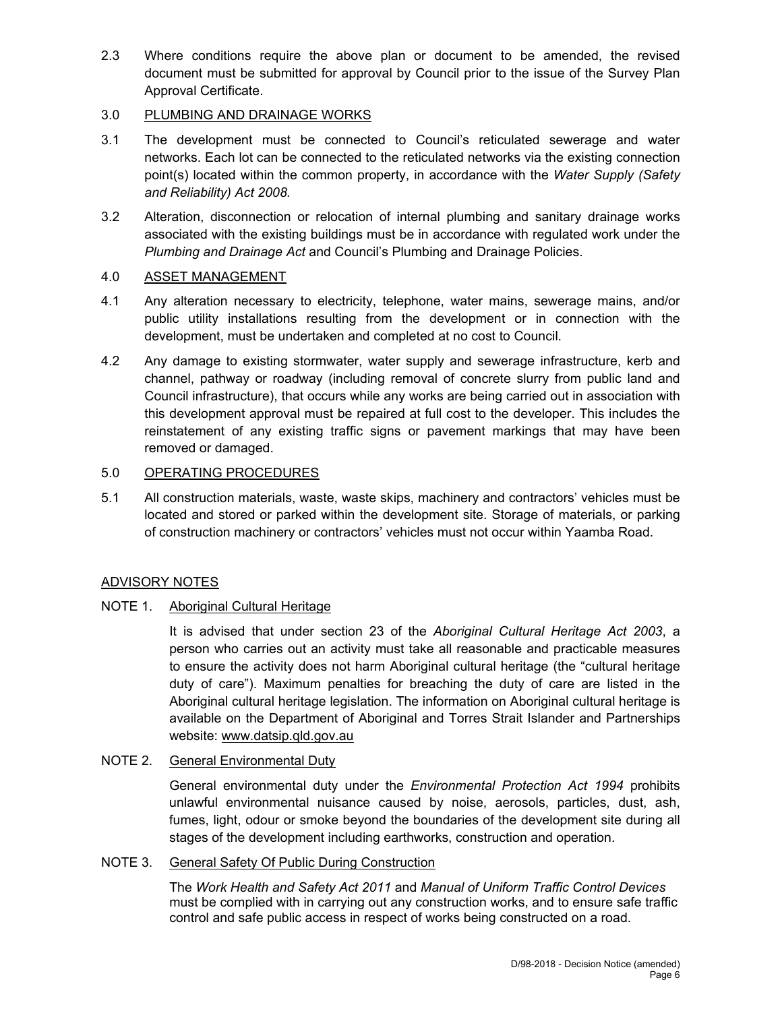2.3 Where conditions require the above plan or document to be amended, the revised document must be submitted for approval by Council prior to the issue of the Survey Plan Approval Certificate.

# 3.0 PLUMBING AND DRAINAGE WORKS

- 3.1 The development must be connected to Council's reticulated sewerage and water networks. Each lot can be connected to the reticulated networks via the existing connection point(s) located within the common property, in accordance with the *Water Supply (Safety and Reliability) Act 2008.*
- 3.2 Alteration, disconnection or relocation of internal plumbing and sanitary drainage works associated with the existing buildings must be in accordance with regulated work under the *Plumbing and Drainage Act* and Council's Plumbing and Drainage Policies.

## 4.0 ASSET MANAGEMENT

- 4.1 Any alteration necessary to electricity, telephone, water mains, sewerage mains, and/or public utility installations resulting from the development or in connection with the development, must be undertaken and completed at no cost to Council.
- 4.2 Any damage to existing stormwater, water supply and sewerage infrastructure, kerb and channel, pathway or roadway (including removal of concrete slurry from public land and Council infrastructure), that occurs while any works are being carried out in association with this development approval must be repaired at full cost to the developer. This includes the reinstatement of any existing traffic signs or pavement markings that may have been removed or damaged.

## 5.0 OPERATING PROCEDURES

5.1 All construction materials, waste, waste skips, machinery and contractors' vehicles must be located and stored or parked within the development site. Storage of materials, or parking of construction machinery or contractors' vehicles must not occur within Yaamba Road.

## ADVISORY NOTES

## NOTE 1. Aboriginal Cultural Heritage

It is advised that under section 23 of the *Aboriginal Cultural Heritage Act 2003*, a person who carries out an activity must take all reasonable and practicable measures to ensure the activity does not harm Aboriginal cultural heritage (the "cultural heritage duty of care"). Maximum penalties for breaching the duty of care are listed in the Aboriginal cultural heritage legislation. The information on Aboriginal cultural heritage is available on the Department of Aboriginal and Torres Strait Islander and Partnerships website: www.datsip.qld.gov.au

## NOTE 2. General Environmental Duty

General environmental duty under the *Environmental Protection Act 1994* prohibits unlawful environmental nuisance caused by noise, aerosols, particles, dust, ash, fumes, light, odour or smoke beyond the boundaries of the development site during all stages of the development including earthworks, construction and operation.

# NOTE 3. General Safety Of Public During Construction

The *Work Health and Safety Act 2011* and *Manual of Uniform Traffic Control Devices* must be complied with in carrying out any construction works, and to ensure safe traffic control and safe public access in respect of works being constructed on a road.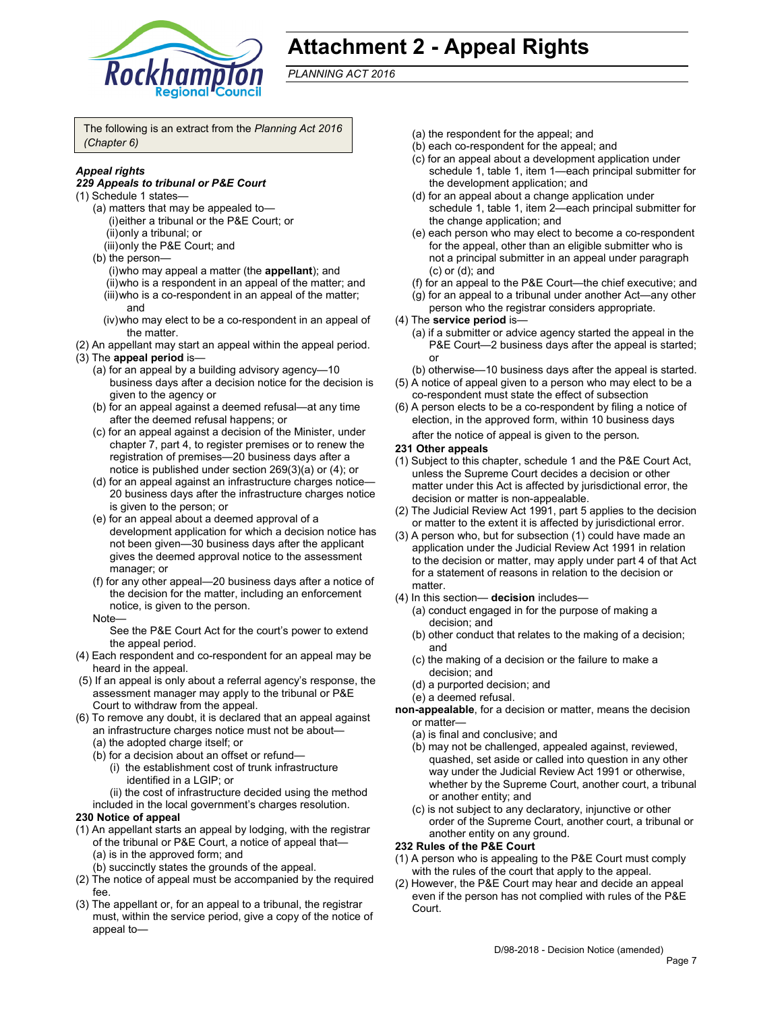

# **Attachment 2 - Appeal Rights**

*PLANNING ACT 2016*

The following is an extract from the *Planning Act 2016 (Chapter 6)*

## *Appeal rights*

#### *229 Appeals to tribunal or P&E Court*

- (1) Schedule 1 states—
	- (a) matters that may be appealed to— (i) either a tribunal or the P&E Court; or
		- (ii) only a tribunal; or
		- (iii) only the P&E Court; and
	- (b) the person—
		- (i) who may appeal a matter (the **appellant**); and
		- (ii) who is a respondent in an appeal of the matter; and
		- (iii) who is a co-respondent in an appeal of the matter; and
		- (iv) who may elect to be a co-respondent in an appeal of the matter.
- (2) An appellant may start an appeal within the appeal period.
- (3) The **appeal period** is—
	- (a) for an appeal by a building advisory agency—10 business days after a decision notice for the decision is given to the agency or
	- (b) for an appeal against a deemed refusal—at any time after the deemed refusal happens; or
	- (c) for an appeal against a decision of the Minister, under chapter 7, part 4, to register premises or to renew the registration of premises—20 business days after a notice is published under section 269(3)(a) or (4); or
	- (d) for an appeal against an infrastructure charges notice— 20 business days after the infrastructure charges notice is given to the person; or
	- (e) for an appeal about a deemed approval of a development application for which a decision notice has not been given—30 business days after the applicant gives the deemed approval notice to the assessment manager; or
	- (f) for any other appeal—20 business days after a notice of the decision for the matter, including an enforcement notice, is given to the person.
	- Note—

See the P&E Court Act for the court's power to extend the appeal period.

- (4) Each respondent and co-respondent for an appeal may be heard in the appeal.
- (5) If an appeal is only about a referral agency's response, the assessment manager may apply to the tribunal or P&E Court to withdraw from the appeal.
- (6) To remove any doubt, it is declared that an appeal against an infrastructure charges notice must not be about—
	- (a) the adopted charge itself; or
	- (b) for a decision about an offset or refund—
		- (i) the establishment cost of trunk infrastructure identified in a LGIP; or
	- (ii) the cost of infrastructure decided using the method included in the local government's charges resolution.

#### **230 Notice of appeal**

- (1) An appellant starts an appeal by lodging, with the registrar of the tribunal or P&E Court, a notice of appeal that— (a) is in the approved form; and
	- (b) succinctly states the grounds of the appeal.
- (2) The notice of appeal must be accompanied by the required fee.
- (3) The appellant or, for an appeal to a tribunal, the registrar must, within the service period, give a copy of the notice of appeal to—
- (a) the respondent for the appeal; and
- (b) each co-respondent for the appeal; and
- (c) for an appeal about a development application under schedule 1, table 1, item 1—each principal submitter for the development application; and
- (d) for an appeal about a change application under schedule 1, table 1, item 2—each principal submitter for the change application; and
- (e) each person who may elect to become a co-respondent for the appeal, other than an eligible submitter who is not a principal submitter in an appeal under paragraph (c) or (d); and
- (f) for an appeal to the P&E Court—the chief executive; and
- (g) for an appeal to a tribunal under another Act—any other person who the registrar considers appropriate.
- (4) The **service period** is—
	- (a) if a submitter or advice agency started the appeal in the P&E Court—2 business days after the appeal is started; or
	- (b) otherwise—10 business days after the appeal is started.
- (5) A notice of appeal given to a person who may elect to be a co-respondent must state the effect of subsection
- (6) A person elects to be a co-respondent by filing a notice of election, in the approved form, within 10 business days

after the notice of appeal is given to the person*.*

- **231 Other appeals**
- (1) Subject to this chapter, schedule 1 and the P&E Court Act, unless the Supreme Court decides a decision or other matter under this Act is affected by jurisdictional error, the decision or matter is non-appealable.
- (2) The Judicial Review Act 1991, part 5 applies to the decision or matter to the extent it is affected by jurisdictional error.
- (3) A person who, but for subsection (1) could have made an application under the Judicial Review Act 1991 in relation to the decision or matter, may apply under part 4 of that Act for a statement of reasons in relation to the decision or matter.
- (4) In this section— **decision** includes—
	- (a) conduct engaged in for the purpose of making a decision; and
	- (b) other conduct that relates to the making of a decision; and
	- (c) the making of a decision or the failure to make a decision; and
	- (d) a purported decision; and
	- (e) a deemed refusal.

**non-appealable**, for a decision or matter, means the decision or matter—

- (a) is final and conclusive; and
- (b) may not be challenged, appealed against, reviewed, quashed, set aside or called into question in any other way under the Judicial Review Act 1991 or otherwise, whether by the Supreme Court, another court, a tribunal or another entity; and
- (c) is not subject to any declaratory, injunctive or other order of the Supreme Court, another court, a tribunal or another entity on any ground.

#### **232 Rules of the P&E Court**

- (1) A person who is appealing to the P&E Court must comply with the rules of the court that apply to the appeal.
- (2) However, the P&E Court may hear and decide an appeal even if the person has not complied with rules of the P&E Court.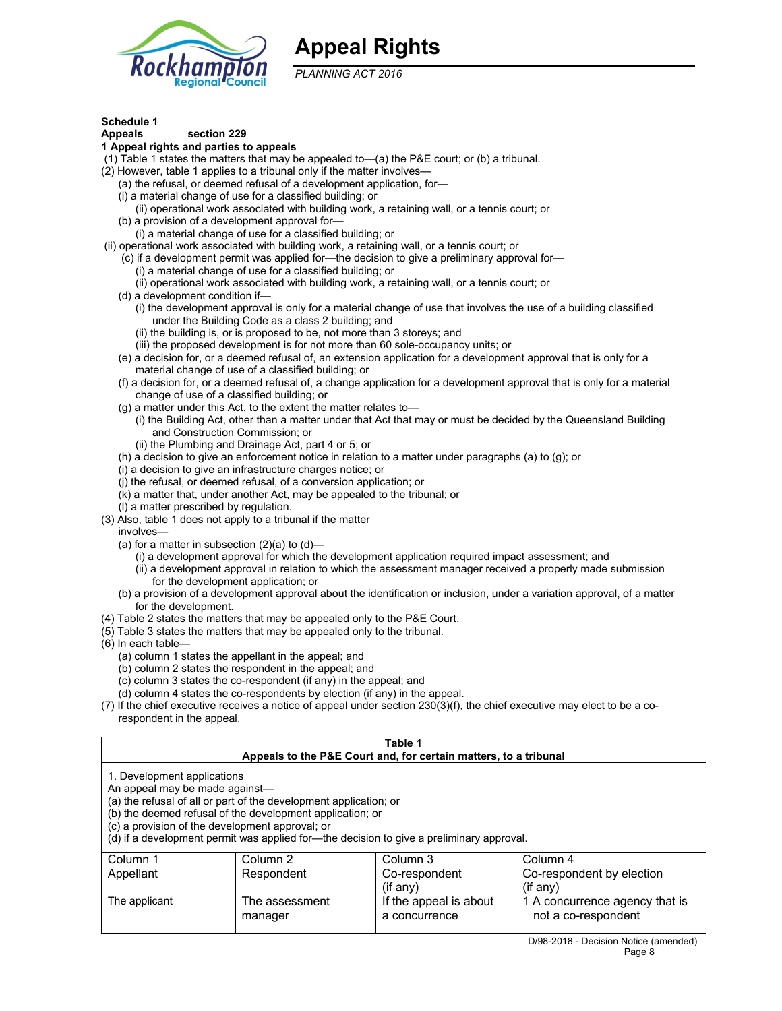

# **Appeal Rights**

*PLANNING ACT 2016*

## **Schedule 1**

## **Appeals section 229**

## **1 Appeal rights and parties to appeals**

(1) Table 1 states the matters that may be appealed to—(a) the P&E court; or (b) a tribunal.

- (2) However, table 1 applies to a tribunal only if the matter involves—
	- (a) the refusal, or deemed refusal of a development application, for—
	- (i) a material change of use for a classified building; or
	- (ii) operational work associated with building work, a retaining wall, or a tennis court; or
	- (b) a provision of a development approval for—
	- (i) a material change of use for a classified building; or
- (ii) operational work associated with building work, a retaining wall, or a tennis court; or
	- (c) if a development permit was applied for—the decision to give a preliminary approval for—
		- (i) a material change of use for a classified building; or
		- (ii) operational work associated with building work, a retaining wall, or a tennis court; or
	- (d) a development condition if—
		- (i) the development approval is only for a material change of use that involves the use of a building classified under the Building Code as a class 2 building; and
		- (ii) the building is, or is proposed to be, not more than 3 storeys; and
		- (iii) the proposed development is for not more than 60 sole-occupancy units; or
	- (e) a decision for, or a deemed refusal of, an extension application for a development approval that is only for a material change of use of a classified building; or
	- (f) a decision for, or a deemed refusal of, a change application for a development approval that is only for a material change of use of a classified building; or
	- (g) a matter under this Act, to the extent the matter relates to—
		- (i) the Building Act, other than a matter under that Act that may or must be decided by the Queensland Building and Construction Commission; or
		- (ii) the Plumbing and Drainage Act, part 4 or 5; or
	- (h) a decision to give an enforcement notice in relation to a matter under paragraphs (a) to (g); or
	- (i) a decision to give an infrastructure charges notice; or
	- (j) the refusal, or deemed refusal, of a conversion application; or
	- (k) a matter that, under another Act, may be appealed to the tribunal; or
	- (l) a matter prescribed by regulation.
- (3) Also, table 1 does not apply to a tribunal if the matter

involves—

- (a) for a matter in subsection  $(2)(a)$  to  $(d)$ 
	- (i) a development approval for which the development application required impact assessment; and
	- (ii) a development approval in relation to which the assessment manager received a properly made submission for the development application; or
- (b) a provision of a development approval about the identification or inclusion, under a variation approval, of a matter for the development.
- (4) Table 2 states the matters that may be appealed only to the P&E Court.
- (5) Table 3 states the matters that may be appealed only to the tribunal.
- (6) In each table—
	- (a) column 1 states the appellant in the appeal; and
	- (b) column 2 states the respondent in the appeal; and
	- (c) column 3 states the co-respondent (if any) in the appeal; and
	- (d) column 4 states the co-respondents by election (if any) in the appeal.
- (7) If the chief executive receives a notice of appeal under section 230(3)(f), the chief executive may elect to be a corespondent in the appeal.

| Table 1<br>Appeals to the P&E Court and, for certain matters, to a tribunal                                                                                                                                                                                                                                                                    |                                   |                                                      |                                                                         |
|------------------------------------------------------------------------------------------------------------------------------------------------------------------------------------------------------------------------------------------------------------------------------------------------------------------------------------------------|-----------------------------------|------------------------------------------------------|-------------------------------------------------------------------------|
| 1. Development applications<br>An appeal may be made against-<br>(a) the refusal of all or part of the development application; or<br>(b) the deemed refusal of the development application; or<br>(c) a provision of the development approval; or<br>(d) if a development permit was applied for-the decision to give a preliminary approval. |                                   |                                                      |                                                                         |
| Column <sub>1</sub><br>Appellant                                                                                                                                                                                                                                                                                                               | Column <sub>2</sub><br>Respondent | Column 3<br>Co-respondent                            | Column 4<br>Co-respondent by election                                   |
| The applicant                                                                                                                                                                                                                                                                                                                                  | The assessment<br>manager         | (i f any)<br>If the appeal is about<br>a concurrence | $($ if any $)$<br>1 A concurrence agency that is<br>not a co-respondent |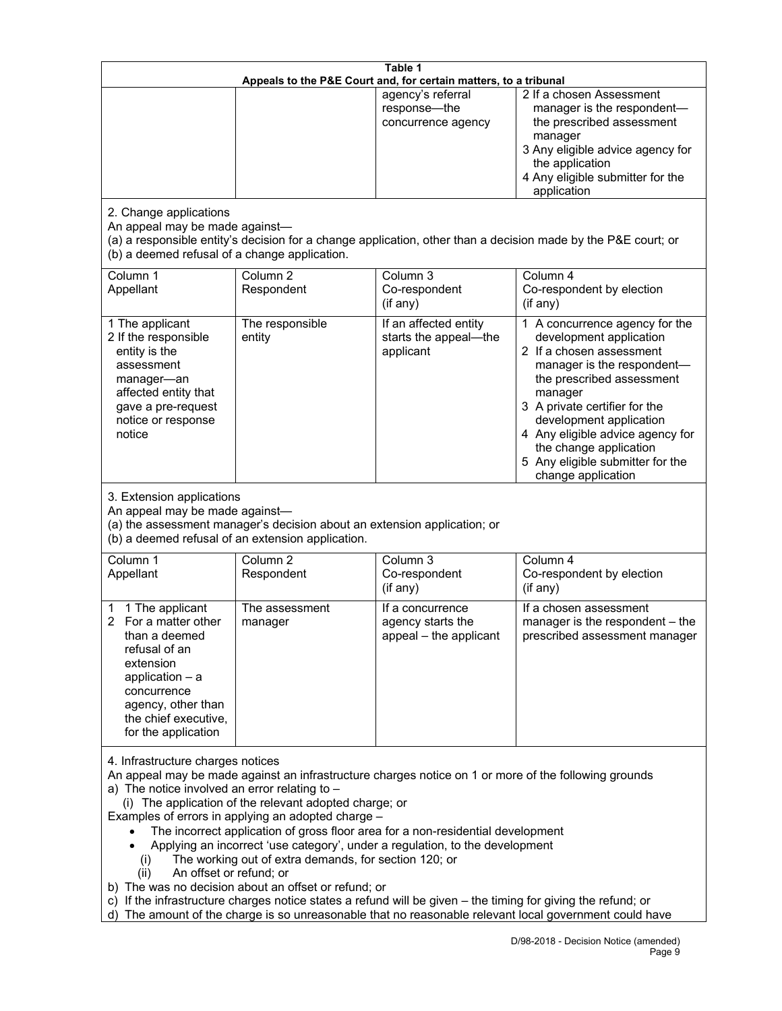| Table 1<br>Appeals to the P&E Court and, for certain matters, to a tribunal                                                                                                                                                                                                                                                                                                                                                                                                                                                                                                                                                                                                                                                                                                                                                                                        |                                   |                                                                 |                                                                                                                                                                                                                                                                                                                                                 |
|--------------------------------------------------------------------------------------------------------------------------------------------------------------------------------------------------------------------------------------------------------------------------------------------------------------------------------------------------------------------------------------------------------------------------------------------------------------------------------------------------------------------------------------------------------------------------------------------------------------------------------------------------------------------------------------------------------------------------------------------------------------------------------------------------------------------------------------------------------------------|-----------------------------------|-----------------------------------------------------------------|-------------------------------------------------------------------------------------------------------------------------------------------------------------------------------------------------------------------------------------------------------------------------------------------------------------------------------------------------|
|                                                                                                                                                                                                                                                                                                                                                                                                                                                                                                                                                                                                                                                                                                                                                                                                                                                                    |                                   | agency's referral<br>response-the<br>concurrence agency         | 2 If a chosen Assessment<br>manager is the respondent-<br>the prescribed assessment<br>manager<br>3 Any eligible advice agency for<br>the application<br>4 Any eligible submitter for the<br>application                                                                                                                                        |
| 2. Change applications<br>An appeal may be made against-<br>(a) a responsible entity's decision for a change application, other than a decision made by the P&E court; or<br>(b) a deemed refusal of a change application.                                                                                                                                                                                                                                                                                                                                                                                                                                                                                                                                                                                                                                         |                                   |                                                                 |                                                                                                                                                                                                                                                                                                                                                 |
| Column 1<br>Appellant                                                                                                                                                                                                                                                                                                                                                                                                                                                                                                                                                                                                                                                                                                                                                                                                                                              | Column <sub>2</sub><br>Respondent | Column 3<br>Co-respondent<br>(if any)                           | Column 4<br>Co-respondent by election<br>(if any)                                                                                                                                                                                                                                                                                               |
| 1 The applicant<br>2 If the responsible<br>entity is the<br>assessment<br>manager-an<br>affected entity that<br>gave a pre-request<br>notice or response<br>notice                                                                                                                                                                                                                                                                                                                                                                                                                                                                                                                                                                                                                                                                                                 | The responsible<br>entity         | If an affected entity<br>starts the appeal-the<br>applicant     | 1 A concurrence agency for the<br>development application<br>2 If a chosen assessment<br>manager is the respondent-<br>the prescribed assessment<br>manager<br>3 A private certifier for the<br>development application<br>4 Any eligible advice agency for<br>the change application<br>5 Any eligible submitter for the<br>change application |
| 3. Extension applications<br>An appeal may be made against-<br>(a) the assessment manager's decision about an extension application; or<br>(b) a deemed refusal of an extension application.                                                                                                                                                                                                                                                                                                                                                                                                                                                                                                                                                                                                                                                                       |                                   |                                                                 |                                                                                                                                                                                                                                                                                                                                                 |
| Column 1<br>Appellant                                                                                                                                                                                                                                                                                                                                                                                                                                                                                                                                                                                                                                                                                                                                                                                                                                              | Column <sub>2</sub><br>Respondent | Column <sub>3</sub><br>Co-respondent<br>(if any)                | Column 4<br>Co-respondent by election<br>(if any)                                                                                                                                                                                                                                                                                               |
| 1 The applicant<br>$\overline{2}$<br>For a matter other<br>than a deemed<br>refusal of an<br>extension<br>application $-$ a<br>concurrence<br>agency, other than<br>the chief executive,<br>for the application                                                                                                                                                                                                                                                                                                                                                                                                                                                                                                                                                                                                                                                    | The assessment<br>manager         | If a concurrence<br>agency starts the<br>appeal - the applicant | If a chosen assessment<br>manager is the respondent – the<br>prescribed assessment manager                                                                                                                                                                                                                                                      |
| 4. Infrastructure charges notices<br>An appeal may be made against an infrastructure charges notice on 1 or more of the following grounds<br>a) The notice involved an error relating to -<br>(i) The application of the relevant adopted charge; or<br>Examples of errors in applying an adopted charge -<br>The incorrect application of gross floor area for a non-residential development<br>Applying an incorrect 'use category', under a regulation, to the development<br>The working out of extra demands, for section 120; or<br>(i)<br>An offset or refund; or<br>(ii)<br>b) The was no decision about an offset or refund; or<br>c) If the infrastructure charges notice states a refund will be given - the timing for giving the refund; or<br>d) The amount of the charge is so unreasonable that no reasonable relevant local government could have |                                   |                                                                 |                                                                                                                                                                                                                                                                                                                                                 |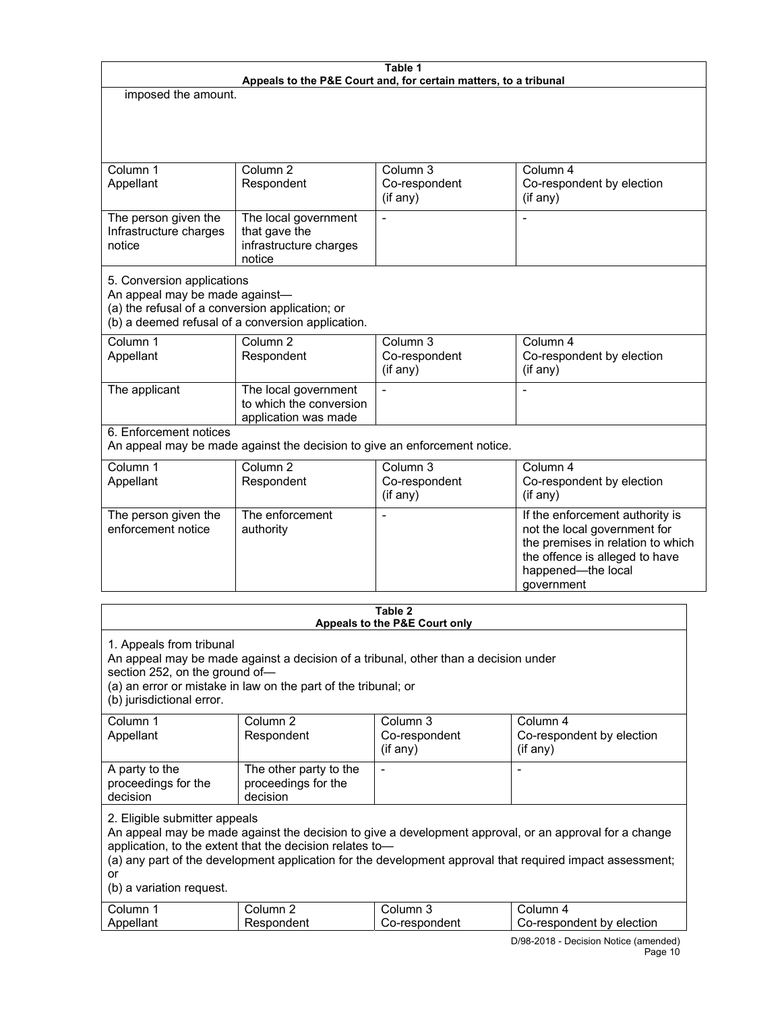| Table 1<br>Appeals to the P&E Court and, for certain matters, to a tribunal                                                                                                 |                                                                           |                                                    |                                                                                                                                                                            |
|-----------------------------------------------------------------------------------------------------------------------------------------------------------------------------|---------------------------------------------------------------------------|----------------------------------------------------|----------------------------------------------------------------------------------------------------------------------------------------------------------------------------|
| imposed the amount.                                                                                                                                                         |                                                                           |                                                    |                                                                                                                                                                            |
|                                                                                                                                                                             |                                                                           |                                                    |                                                                                                                                                                            |
| Column 1<br>Appellant                                                                                                                                                       | Column <sub>2</sub><br>Respondent                                         | Column 3<br>Co-respondent<br>(if any)              | Column 4<br>Co-respondent by election<br>$($ if any $)$                                                                                                                    |
| The person given the<br>Infrastructure charges<br>notice<br>5. Conversion applications<br>An appeal may be made against-<br>(a) the refusal of a conversion application; or | The local government<br>that gave the<br>infrastructure charges<br>notice |                                                    |                                                                                                                                                                            |
|                                                                                                                                                                             | (b) a deemed refusal of a conversion application.                         |                                                    |                                                                                                                                                                            |
| Column <sub>1</sub><br>Appellant                                                                                                                                            | Column <sub>2</sub><br>Respondent                                         | Column $\overline{3}$<br>Co-respondent<br>(if any) | Column 4<br>Co-respondent by election<br>(if any)                                                                                                                          |
| The applicant                                                                                                                                                               | The local government<br>to which the conversion<br>application was made   | $\overline{a}$                                     |                                                                                                                                                                            |
| 6. Enforcement notices<br>An appeal may be made against the decision to give an enforcement notice.                                                                         |                                                                           |                                                    |                                                                                                                                                                            |
| Column 1<br>Appellant                                                                                                                                                       | Column <sub>2</sub><br>Respondent                                         | Column 3<br>Co-respondent<br>(if any)              | Column 4<br>Co-respondent by election<br>(if any)                                                                                                                          |
| The person given the<br>enforcement notice                                                                                                                                  | The enforcement<br>authority                                              |                                                    | If the enforcement authority is<br>not the local government for<br>the premises in relation to which<br>the offence is alleged to have<br>happened-the local<br>government |
| Table 2                                                                                                                                                                     |                                                                           |                                                    |                                                                                                                                                                            |

| Appeals to the P&E Court only                                                                                                                                                                                                                                                                                                                      |                                                           |                            |                                        |
|----------------------------------------------------------------------------------------------------------------------------------------------------------------------------------------------------------------------------------------------------------------------------------------------------------------------------------------------------|-----------------------------------------------------------|----------------------------|----------------------------------------|
| 1. Appeals from tribunal<br>An appeal may be made against a decision of a tribunal, other than a decision under<br>section 252, on the ground of-<br>(a) an error or mistake in law on the part of the tribunal; or<br>(b) jurisdictional error.                                                                                                   |                                                           |                            |                                        |
| Column 1                                                                                                                                                                                                                                                                                                                                           | Column 2                                                  | Column 3                   | Column 4                               |
| Appellant                                                                                                                                                                                                                                                                                                                                          | Respondent                                                | Co-respondent<br>(i f any) | Co-respondent by election<br>(i f any) |
| A party to the<br>proceedings for the<br>decision                                                                                                                                                                                                                                                                                                  | The other party to the<br>proceedings for the<br>decision |                            |                                        |
| 2. Eligible submitter appeals<br>An appeal may be made against the decision to give a development approval, or an approval for a change<br>application, to the extent that the decision relates to-<br>(a) any part of the development application for the development approval that required impact assessment;<br>or<br>(b) a variation request. |                                                           |                            |                                        |
| Column 1                                                                                                                                                                                                                                                                                                                                           | Column <sub>2</sub>                                       | Column 3                   | Column 4                               |
| Appellant                                                                                                                                                                                                                                                                                                                                          | Respondent                                                | Co-respondent              | Co-respondent by election              |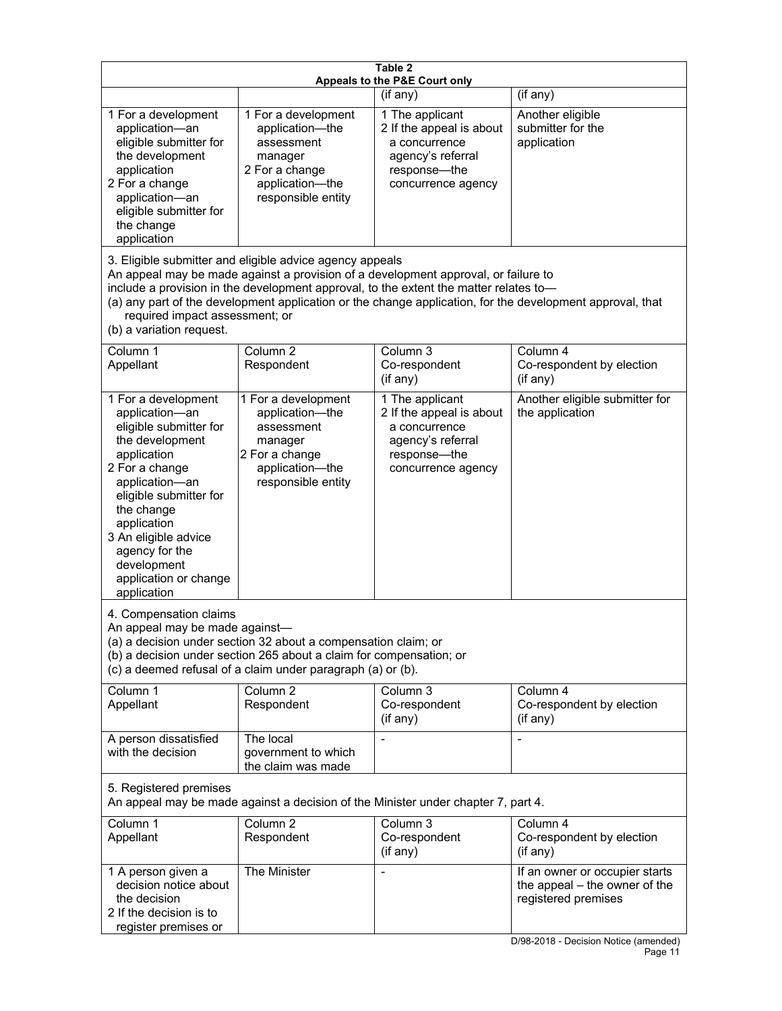| Table 2<br>Appeals to the P&E Court only                                                                                                                                                                                                                                                                                                                                                                           |                                                                                                                            |                                                                                                                         |                                                                                                                               |  |
|--------------------------------------------------------------------------------------------------------------------------------------------------------------------------------------------------------------------------------------------------------------------------------------------------------------------------------------------------------------------------------------------------------------------|----------------------------------------------------------------------------------------------------------------------------|-------------------------------------------------------------------------------------------------------------------------|-------------------------------------------------------------------------------------------------------------------------------|--|
|                                                                                                                                                                                                                                                                                                                                                                                                                    |                                                                                                                            | (if any)                                                                                                                | (if any)                                                                                                                      |  |
| 1 For a development<br>application-an<br>eligible submitter for<br>the development<br>application<br>2 For a change<br>application-an<br>eligible submitter for<br>the change<br>application                                                                                                                                                                                                                       | 1 For a development<br>application-the<br>assessment<br>manager<br>2 For a change<br>application-the<br>responsible entity | 1 The applicant<br>2 If the appeal is about<br>a concurrence<br>agency's referral<br>response-the<br>concurrence agency | Another eligible<br>submitter for the<br>application                                                                          |  |
| 3. Eligible submitter and eligible advice agency appeals<br>An appeal may be made against a provision of a development approval, or failure to<br>include a provision in the development approval, to the extent the matter relates to-<br>(a) any part of the development application or the change application, for the development approval, that<br>required impact assessment; or<br>(b) a variation request. |                                                                                                                            |                                                                                                                         |                                                                                                                               |  |
| Column <sub>1</sub><br>Appellant                                                                                                                                                                                                                                                                                                                                                                                   | Column <sub>2</sub><br>Respondent                                                                                          | Column 3<br>Co-respondent<br>(if any)                                                                                   | Column 4<br>Co-respondent by election<br>(if any)                                                                             |  |
| 1 For a development<br>application-an<br>eligible submitter for<br>the development<br>application<br>2 For a change<br>application-an<br>eligible submitter for<br>the change<br>application<br>3 An eligible advice<br>agency for the<br>development<br>application or change<br>application                                                                                                                      | 1 For a development<br>application-the<br>assessment<br>manager<br>2 For a change<br>application-the<br>responsible entity | 1 The applicant<br>2 If the appeal is about<br>a concurrence<br>agency's referral<br>response-the<br>concurrence agency | Another eligible submitter for<br>the application                                                                             |  |
| 4. Compensation claims<br>An appeal may be made against-<br>(a) a decision under section 32 about a compensation claim; or<br>(b) a decision under section 265 about a claim for compensation; or<br>(c) a deemed refusal of a claim under paragraph (a) or (b).                                                                                                                                                   |                                                                                                                            |                                                                                                                         |                                                                                                                               |  |
| Column 1<br>Appellant                                                                                                                                                                                                                                                                                                                                                                                              | Column <sub>2</sub><br>Respondent                                                                                          | Column 3<br>Co-respondent<br>(if any)                                                                                   | Column 4<br>Co-respondent by election<br>(if any)                                                                             |  |
| A person dissatisfied<br>with the decision                                                                                                                                                                                                                                                                                                                                                                         | The local<br>government to which<br>the claim was made                                                                     |                                                                                                                         |                                                                                                                               |  |
| 5. Registered premises<br>An appeal may be made against a decision of the Minister under chapter 7, part 4.                                                                                                                                                                                                                                                                                                        |                                                                                                                            |                                                                                                                         |                                                                                                                               |  |
| Column 1<br>Appellant                                                                                                                                                                                                                                                                                                                                                                                              | Column <sub>2</sub><br>Respondent                                                                                          | Column 3<br>Co-respondent<br>(if any)                                                                                   | Column 4<br>Co-respondent by election<br>(if any)                                                                             |  |
| 1 A person given a<br>decision notice about<br>the decision<br>2 If the decision is to<br>register premises or                                                                                                                                                                                                                                                                                                     | The Minister                                                                                                               |                                                                                                                         | If an owner or occupier starts<br>the appeal – the owner of the<br>registered premises<br>D/08 2018 Decision Notice (amended) |  |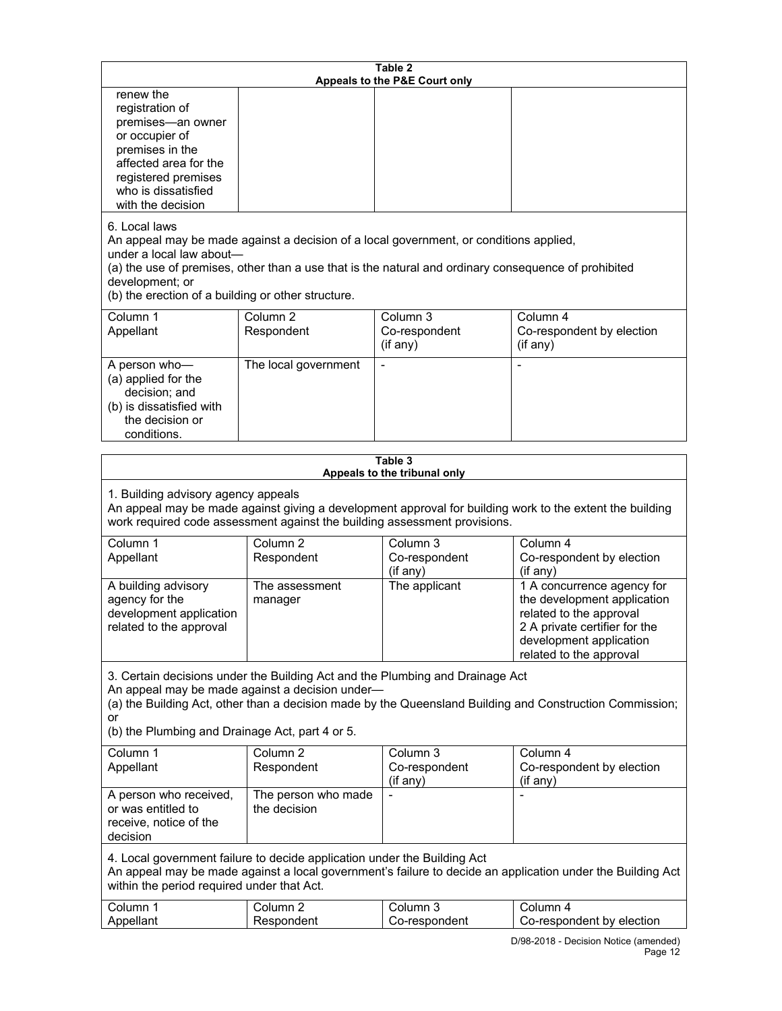| Table 2                                                                                                                                                                                                                                                                                                              |                                     |                                       |                                                                                                                                                                             |
|----------------------------------------------------------------------------------------------------------------------------------------------------------------------------------------------------------------------------------------------------------------------------------------------------------------------|-------------------------------------|---------------------------------------|-----------------------------------------------------------------------------------------------------------------------------------------------------------------------------|
| renew the<br>registration of<br>premises-an owner<br>or occupier of<br>premises in the<br>affected area for the<br>registered premises<br>who is dissatisfied<br>with the decision                                                                                                                                   |                                     | Appeals to the P&E Court only         |                                                                                                                                                                             |
| 6. Local laws<br>An appeal may be made against a decision of a local government, or conditions applied,<br>under a local law about-<br>(a) the use of premises, other than a use that is the natural and ordinary consequence of prohibited<br>development; or<br>(b) the erection of a building or other structure. |                                     |                                       |                                                                                                                                                                             |
| Column 1<br>Appellant                                                                                                                                                                                                                                                                                                | Column <sub>2</sub><br>Respondent   | Column 3<br>Co-respondent<br>(if any) | Column 4<br>Co-respondent by election<br>(if any)                                                                                                                           |
| A person who-<br>(a) applied for the<br>decision; and<br>(b) is dissatisfied with<br>the decision or<br>conditions.                                                                                                                                                                                                  | The local government                | $\blacksquare$                        |                                                                                                                                                                             |
|                                                                                                                                                                                                                                                                                                                      |                                     | Table 3                               |                                                                                                                                                                             |
| Appeals to the tribunal only<br>1. Building advisory agency appeals<br>An appeal may be made against giving a development approval for building work to the extent the building<br>work required code assessment against the building assessment provisions.                                                         |                                     |                                       |                                                                                                                                                                             |
| Column 1<br>Appellant                                                                                                                                                                                                                                                                                                | Column <sub>2</sub><br>Respondent   | Column 3<br>Co-respondent<br>(if any) | Column 4<br>Co-respondent by election<br>(if any)                                                                                                                           |
| A building advisory<br>agency for the<br>development application<br>related to the approval                                                                                                                                                                                                                          | The assessment<br>manager           | The applicant                         | 1 A concurrence agency for<br>the development application<br>related to the approval<br>2 A private certifier for the<br>development application<br>related to the approval |
| 3. Certain decisions under the Building Act and the Plumbing and Drainage Act<br>An appeal may be made against a decision under-<br>(a) the Building Act, other than a decision made by the Queensland Building and Construction Commission;<br>or                                                                   |                                     |                                       |                                                                                                                                                                             |
| (b) the Plumbing and Drainage Act, part 4 or 5.                                                                                                                                                                                                                                                                      |                                     |                                       |                                                                                                                                                                             |
| Column 1<br>Appellant                                                                                                                                                                                                                                                                                                | Column <sub>2</sub><br>Respondent   | Column 3<br>Co-respondent<br>(if any) | Column 4<br>Co-respondent by election<br>(i f an y)                                                                                                                         |
| A person who received,<br>or was entitled to<br>receive, notice of the<br>decision                                                                                                                                                                                                                                   | The person who made<br>the decision |                                       |                                                                                                                                                                             |
| 4. Local government failure to decide application under the Building Act<br>An appeal may be made against a local government's failure to decide an application under the Building Act<br>within the period required under that Act.                                                                                 |                                     |                                       |                                                                                                                                                                             |
| Column 1<br>Appellant                                                                                                                                                                                                                                                                                                | Column <sub>2</sub>                 | Column 3                              | Column 4                                                                                                                                                                    |